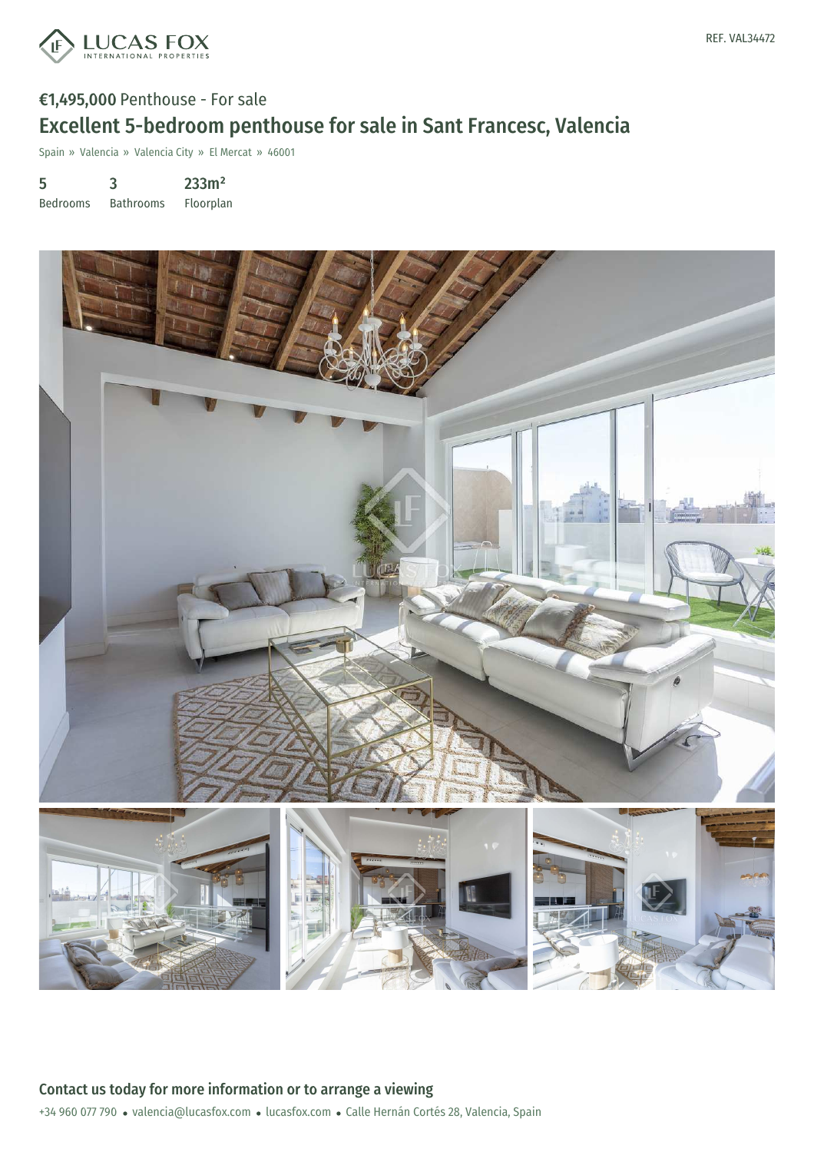

# €1,495,000 Penthouse - For sale Excellent 5-bedroom penthouse for sale in Sant Francesc, Valencia

Spain » Valencia » Valencia City » El Mercat » 46001

5 Bedrooms 3 Bathrooms 233m² Floorplan

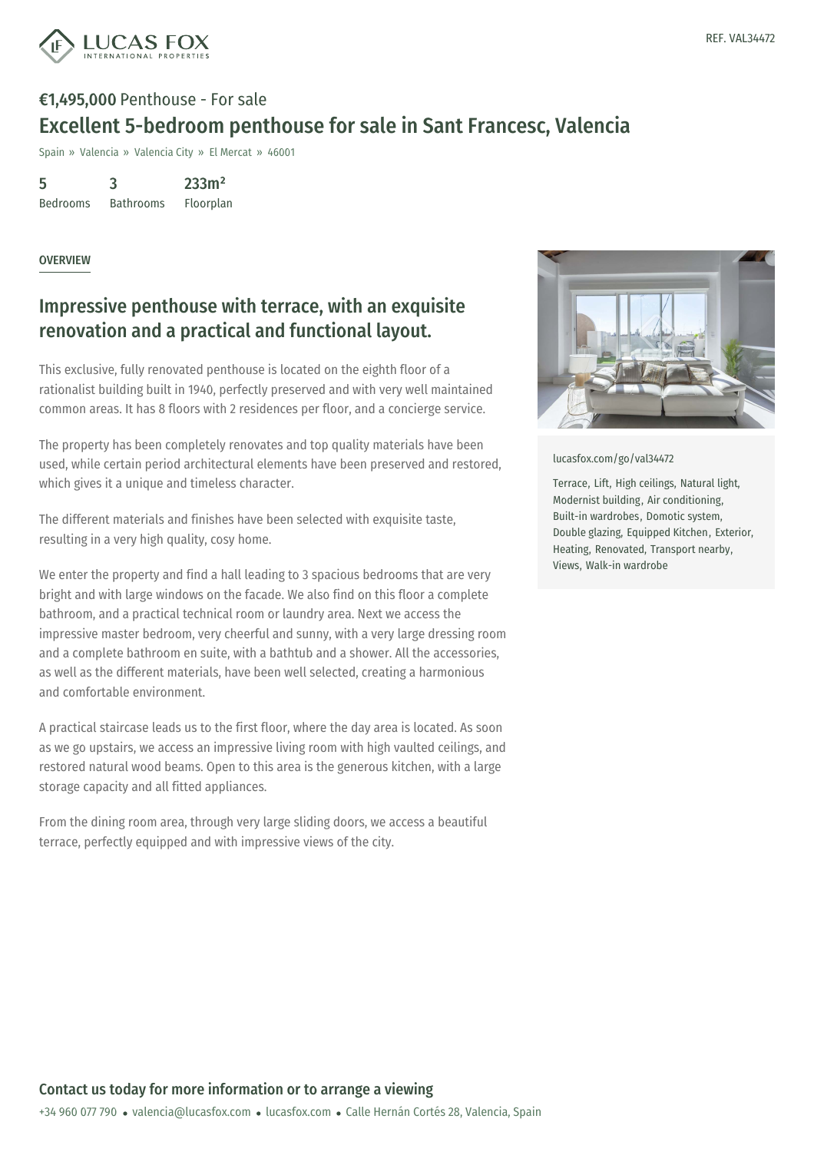

# €1,495,000 Penthouse - For sale Excellent 5-bedroom penthouse for sale in Sant Francesc, Valencia

Spain » Valencia » Valencia City » El Mercat » 46001

5 Bedrooms 3 Bathrooms 233m² Floorplan

#### OVERVIEW

### Impressive penthouse with terrace, with an exquisite renovation and a practical and functional layout.

This exclusive, fully renovated penthouse is located on the eighth floor of a rationalist building built in 1940, perfectly preserved and with very well maintained common areas. It has 8 floors with 2 residences per floor, and a concierge service.

The property has been completely renovates and top quality materials have been used, while certain period architectural elements have been preserved and restored, which gives it a unique and timeless character.

The different materials and finishes have been selected with exquisite taste, resulting in a very high quality, cosy home.

We enter the property and find a hall leading to 3 spacious bedrooms that are very bright and with large windows on the facade. We also find on this floor a complete bathroom, and a practical technical room or laundry area. Next we access the impressive master bedroom, very cheerful and sunny, with a very large dressing room and a complete bathroom en suite, with a bathtub and a shower. All the accessories, as well as the different materials, have been well selected, creating a harmonious and comfortable environment.

A practical staircase leads us to the first floor, where the day area is located. As soon as we go upstairs, we access an impressive living room with high vaulted ceilings, and restored natural wood beams. Open to this area is the generous kitchen, with a large storage capacity and all fitted appliances.

From the dining room area, through very large sliding doors, we access a beautiful terrace, perfectly equipped and with impressive views of the city.



[lucasfox.com/go/val34472](https://www.lucasfox.com/go/val34472)

Terrace, Lift, High ceilings, Natural light, Modernist building, Air conditioning, Built-in wardrobes, Domotic system, Double glazing, Equipped Kitchen, Exterior, Heating, Renovated, Transport nearby, Views, Walk-in wardrobe